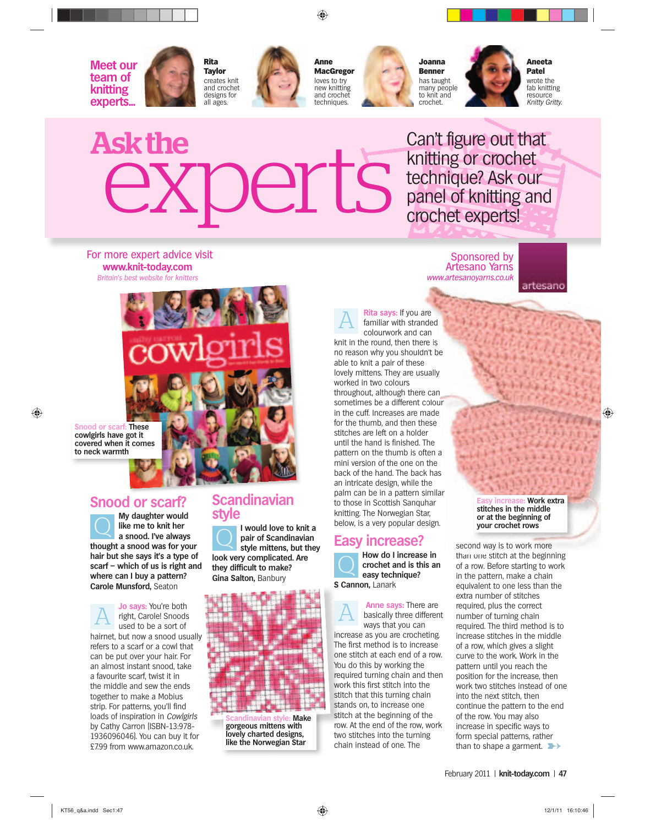

⊕

**Meet our team of knitting experts...**





**Anne MacGregor** loves to try new knitting and crochet techniques.



**Joanna Benner** has taught many people to knit and crochet.



**Aneeta Patel** wrote the fab knitting resource Knitty Gritty.

# Askthe<br>
experts

Can't figure out that knitting or crochet technique? Ask our panel of knitting and crochet experts!

For more expert advice visit **www.knit-today.com** Britain's best website for knitters



**Snood or scarf: These cowlgirls have got it covered when it comes to neck warmth**

 $\bigcirc$ 

## **Snood or scarf?**

**O** My daughter would<br>**a** snood. I've always **like me to knit her a snood. I've always thought a snood was for your hair but she says it's a type of scarf – which of us is right and where can I buy a pattern? Carole Munsford,** Seaton

**A** *do* **says: You're both<br>** *right, Carole! Snoods***<br>** *used to be a sort of* right, Carole! Snoods used to be a sort of hairnet, but now a snood usually refers to a scarf or a cowl that can be put over your hair. For an almost instant snood, take a favourite scarf, twist it in the middle and sew the ends together to make a Mobius strip. For patterns, you'll find loads of inspiration in Cowlgirls by Cathy Carron (ISBN-13:978- 1936096046). You can buy it for £7.99 from www.amazon.co.uk.

#### **Scandinavian style**

**Q I** would love to knit a<br>pair of Scandinavian<br>style mittens, but they **pair of Scandinavian style mittens, but they look very complicated. Are they difficult to make? Gina Salton,** Banbury



**Make gorgeous mittens with lovely charted designs, like the Norwegian Star**

Sponsored by Artesano Yarns Art www.artesanoyarns.co.uk www.artesanoyarns

artesano

**A Rita says:** If you are<br>
familiar with stranded<br>
colourwork and can colourwork and can knit in the round, then there is no reason why you shouldn't be houldn n't be able to knit a pair of these able to knit a pair of these<br>lovely mittens. They are usually worked in two colours throughout, although there can sometimes be a different colour in the cuff. Increases are made for the thumb, and then these stitches are left on a holder until the hand is finished. The pattern on the thumb is often a mini version of the one on the back of the hand. The back has an intricate design, while the palm can be in a pattern similar to those in Scottish Sanquhar knitting. The Norwegian Star, below, is a very popular design. u are<br>pranded<br>d can<br>there is<br>uldn't be<br>ese<br>usually<br>ere can<br>e made<br>i these

#### **Easy increase?**

**A** How do I increase in<br> **C** easy technique? **crochet and is this an easy technique?**

**S Cannon,** Lanark **S C**

**Anne says:** There are<br>basically three different ways that you can increase as you are crocheting. inc The first method is to increase Th one stitch at each end of a row. on You do this by working the Yo required turning chain and then work this first stitch into the wo stitch that this turning chain sti stands on, to increase one sta stitch at the beginning of the row. At the end of the row, work two stitches into the turning chain instead of one. The

**E**: Work extra **stitches in the middle or at the beginning of your crochet rows**

than to shape a garment. second way is to work more than one stitch at the beginning of a row. Before starting to work in the pattern, make a chain equivalent to one less than the extra number of stitches required, plus the correct number of turning chain required. The third method is to increase stitches in the middle of a row, which gives a slight curve to the work. Work in the pattern until you reach the position for the increase, then work two stitches instead of one into the next stitch, then continue the pattern to the end of the row. You may also increase in specific ways to form special patterns, rather ar<br>
stitches i<br>
or at the<br>
your croom<br>
second way is than one stitch

February 2011 | knit-today.com | 47

◈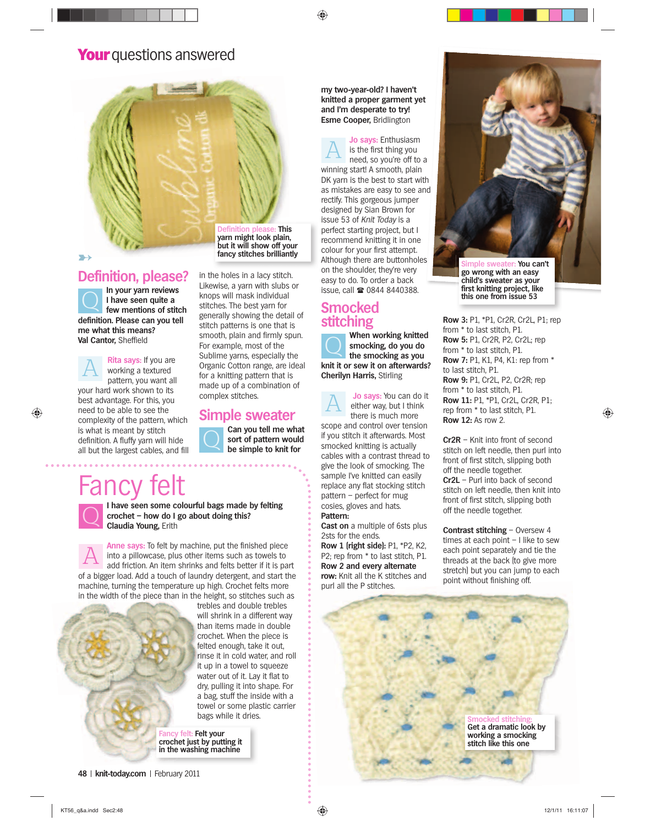◈

# **Your** questions answered



**Definition, please?**<br> **In your yarn reviews Q** In your yarn reviews<br> **Q** I have seen quite a<br> **Formulary** few mentions of stitc **I have seen quite a few mentions of stitch definition. Please can you tell me what this means? Val Cantor,** Sheffield

**A Rita says:** If you are working a textured pattern, you want all your hard work shown to its best advantage. For this, you need to be able to see the complexity of the pattern, which is what is meant by stitch definition. A fluffy yarn will hide all but the largest cables, and fill

**Definition please: This yarn might look plain, but it will show off your fancy stitches brilliantly**

in the holes in a lacy stitch. Likewise, a yarn with slubs or knops will mask individual stitches. The best yarn for generally showing the detail of stitch patterns is one that is smooth, plain and firmly spun. For example, most of the Sublime yarns, especially the Organic Cotton range, are ideal for a knitting pattern that is made up of a combination of complex stitches.

# **Simple sweater**

Can you tell me what<br>
sort of pattern would<br>
be simple to knit for **sort of pattern would be simple to knit for** 

# -ancy



 $\bigcirc$ 

**I have seen some colourful bags made by felting<br>
crochet – how do I go about doing this?<br>
claudia Young.** Erith **crochet – how do I go about doing this? Claudia Young,** Erith

A **Anne says:** To felt by machine, put the finished piece<br>and pillowcase, plus other items such as towels to<br>add friction. An item shrinks and felts better if it is pai into a pillowcase, plus other items such as towels to add friction. An item shrinks and felts better if it is part of a bigger load. Add a touch of laundry detergent, and start the machine, turning the temperature up high. Crochet felts more in the width of the piece than in the height, so stitches such as



trebles and double trebles t will shrink in a different way w than items made in double crochet. When the piece is croc c felted enough, take it out, felted f rinse it in cold water, and roll i r it up in a towel to squeeze water out of it. Lay it flat to w dry, pulling it into shape. For a bag, stuff the inside with a a towel or some plastic carrier bags while it dries.

**Fancy felt: Felt your crochet just by putting it in the washing machine**

**48** | knit-today.com | February 2011

**my two-year-old? I haven't knitted a proper garment yet and I'm desperate to try! Esme Cooper,** Bridlington

A **Jo says:** Enthusiasm<br>is the first thing you<br>need, so you're off to is the first thing you need, so you're off to a winning start! A smooth, plain DK yarn is the best to start with as mistakes are easy to see and rectify. This gorgeous jumper designed by Sian Brown for issue 53 of Knit Today is a perfect starting project, but I recommend knitting it in one colour for your first attempt. ↑ ancy stitches brilliantly and there are buttonholes and **Simple sweater:** You can't on the shoulder, they're very easy to do. To order a back issue, call 0844 8440388.

# **Smocked stitching**

**C** When working knitted<br>
smocking, do you do<br>
the smocking as you **smocking, do you do the smocking as you knit it or sew it on afterwards? Cherilyn Harris,** Stirling

**A** Jo says: You can do it<br>either way, but I think<br>there is much more there is much more scope and control over tension if you stitch it afterwards. Most smocked knitting is actually cables with a contrast thread to give the look of smocking. The sample I've knitted can easily

replace any flat stocking stitch pattern – perfect for mug cosies, gloves and hats. **Pattern:**

**Cast on** a multiple of 6sts plus 2sts for the ends. **Row 1 (right side):** P1, \*P2, K2, P2; rep from \* to last stitch, P1. **Row 2 and every alternate row:** Knit all the K stitches and



**go wrong with an easy child's sweater as your first knitting project, like this one from issue 53**

**Row 3:** P1, \*P1, Cr2R, Cr2L, P1; rep from \* to last stitch, P1. **Row 5:** P1, Cr2R, P2, Cr2L; rep from \* to last stitch, P1. **Row 7:** P1, K1, P4, K1: rep from \* to last stitch, P1. **Row 9:** P1, Cr2L, P2, Cr2R; rep from \* to last stitch, P1. **Row 11:** P1, \*P1, Cr2L, Cr2R, P1; rep from \* to last stitch, P1. **Row 12:** As row 2.

◈

**Cr2R** – Knit into front of second stitch on left needle, then purl into front of first stitch, slipping both off the needle together. **Cr2L** – Purl into back of second stitch on left needle, then knit into front of first stitch, slipping both off the needle together.

**Contrast stitching** – Oversew 4 times at each point – I like to sew each point separately and tie the threads at the back (to give more stretch) but you can jump to each point without finishing off.